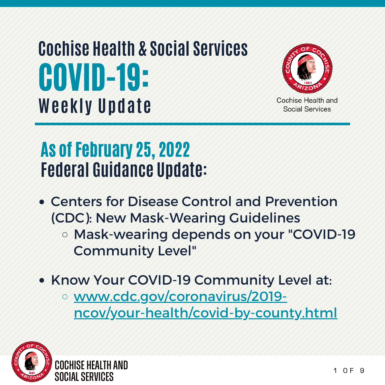# COVID-19: **Weekly Update Cochise Health & Social Services**



Cochise Health and Social Services

## As of February 25, 2022 **Federal Guidance Update:**

- Centers for Disease Control and Prevention (CDC): New Mask-Wearing Guidelines
	- o Mask-wearing depends on your "COVID-19" Community Level"
- Know Your COVID-19 Community Level at:
	- www.cdc.gov/coronavirus/2019 ncov/your-health/covid-by-county.html

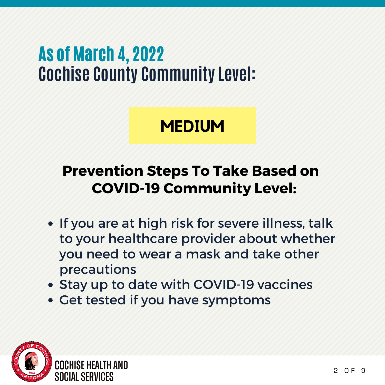### As of March 4, 2022 **Cochise County Community Level:**

#### **MEDIUM**

#### **Prevention Steps To Take Based on COVID-19 Community Level:**

- If you are at high risk for severe illness, talk to your healthcare provider about whether you need to wear a mask and take other precautions
- Stay up to date with COVID-19 vaccines
- Get tested if you have symptoms

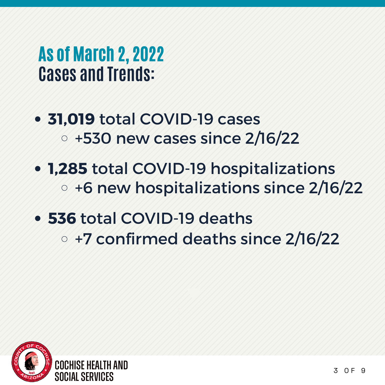#### As of March 2, 2022 **Cases and Trends:**

- **31,019** total COVID-19 cases +530 new cases since 2/16/22
- **1,285** total COVID-19 hospitalizations o +6 new hospitalizations since 2/16/22
- **536** total COVID-19 deaths
	- +7 confirmed deaths since 2/16/22

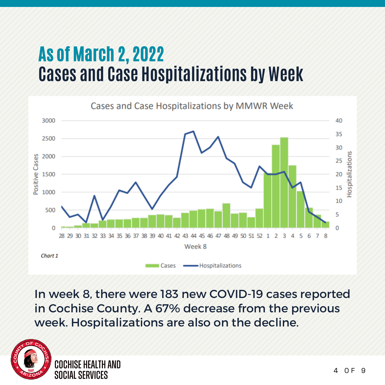### As of March 2, 2022 **Cases and Case Hospitalizations by Week**



In week 8, there were 183 new COVID-19 cases reported in Cochise County. A 67% decrease from the previous week. Hospitalizations are also on the decline.

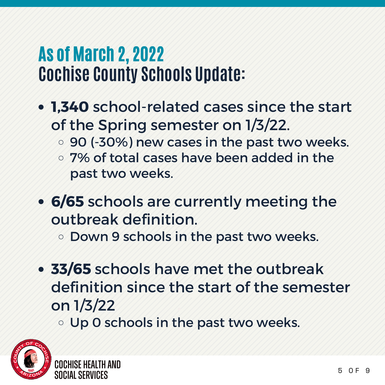### As of March 2, 2022 **Cochise County Schools Update:**

- **1,340** school-related cases since the start of the Spring semester on 1/3/22.
	- 90 (-30%) new cases in the past two weeks.
	- 7% of total cases have been added in the past two weeks.
- **6/65** schools are currently meeting the outbreak definition.
	- **ODown 9 schools in the past two weeks.**
- **33/65** schools have met the outbreak definition since the start of the semester on 1/3/22

Up 0 schools in the past two weeks.

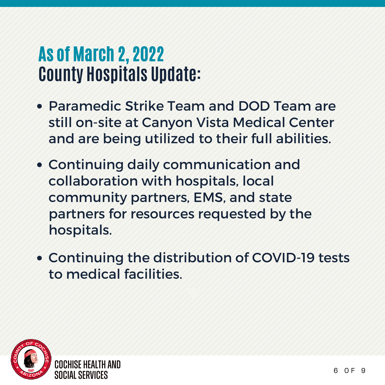#### As of March 2, 2022 **County Hospitals Update:**

- Paramedic Strike Team and DOD Team are still on-site at Canyon Vista Medical Center and are being utilized to their full abilities.
- Continuing daily communication and collaboration with hospitals, local community partners, EMS, and state partners for resources requested by the hospitals.
- Continuing the distribution of COVID-19 tests to medical facilities.

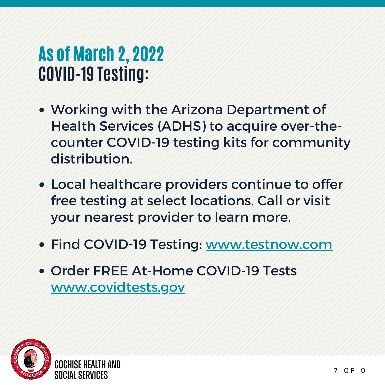#### As of March 2, 2022 **COVID-19 Testing:**

- Working with the Arizona Department of Health Services (ADHS) to acquire over-thecounter COVID-19 testing kits for community distribution.
- Local healthcare providers continue to offer free testing at select locations. Call or visit your nearest provider to learn more.
- Find COVID-19 Testing: www.testnow.com
- Order FREE At-Home COVID-19 Tests www.covidtests.gov

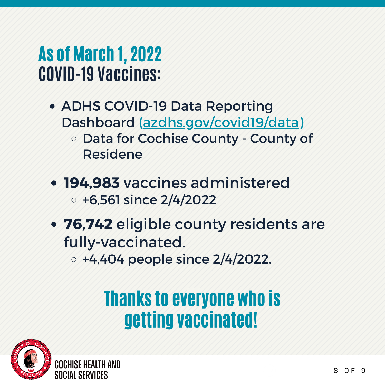### As of March 1, 2022 **COVID-19 Vaccines:**

- ADHS COVID-19 Data Reporting Dashboard (azdhs.gov/covid19/data) o Data for Cochise County - County of Residene
- **194,983** vaccines administered  $\circ$  +6,561 since 2/4/2022
- **76,742** eligible county residents are fully-vaccinated.

 $\circ$  +4,404 people since 2/4/2022.

# Thanks to everyone who is getting vaccinated!